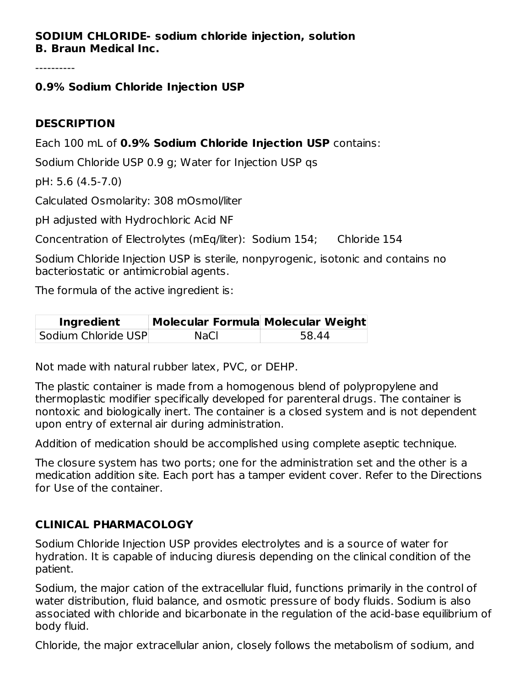#### **SODIUM CHLORIDE- sodium chloride injection, solution B. Braun Medical Inc.**

----------

#### **0.9% Sodium Chloride Injection USP**

#### **DESCRIPTION**

Each 100 mL of **0.9% Sodium Chloride Injection USP** contains:

Sodium Chloride USP 0.9 g; Water for Injection USP qs

pH: 5.6 (4.5-7.0)

Calculated Osmolarity: 308 mOsmol/liter

pH adjusted with Hydrochloric Acid NF

Concentration of Electrolytes (mEq/liter): Sodium 154; Chloride 154

Sodium Chloride Injection USP is sterile, nonpyrogenic, isotonic and contains no bacteriostatic or antimicrobial agents.

The formula of the active ingredient is:

| Ingredient          | Molecular Formula Molecular Weight |       |
|---------------------|------------------------------------|-------|
| Sodium Chloride USP | <b>NaCl</b>                        | 58.44 |

Not made with natural rubber latex, PVC, or DEHP.

The plastic container is made from a homogenous blend of polypropylene and thermoplastic modifier specifically developed for parenteral drugs. The container is nontoxic and biologically inert. The container is a closed system and is not dependent upon entry of external air during administration.

Addition of medication should be accomplished using complete aseptic technique.

The closure system has two ports; one for the administration set and the other is a medication addition site. Each port has a tamper evident cover. Refer to the Directions for Use of the container.

## **CLINICAL PHARMACOLOGY**

Sodium Chloride Injection USP provides electrolytes and is a source of water for hydration. It is capable of inducing diuresis depending on the clinical condition of the patient.

Sodium, the major cation of the extracellular fluid, functions primarily in the control of water distribution, fluid balance, and osmotic pressure of body fluids. Sodium is also associated with chloride and bicarbonate in the regulation of the acid-base equilibrium of body fluid.

Chloride, the major extracellular anion, closely follows the metabolism of sodium, and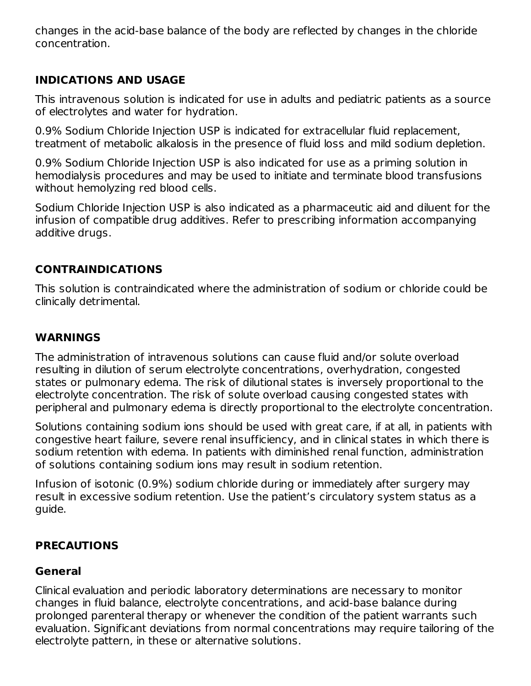changes in the acid-base balance of the body are reflected by changes in the chloride concentration.

## **INDICATIONS AND USAGE**

This intravenous solution is indicated for use in adults and pediatric patients as a source of electrolytes and water for hydration.

0.9% Sodium Chloride Injection USP is indicated for extracellular fluid replacement, treatment of metabolic alkalosis in the presence of fluid loss and mild sodium depletion.

0.9% Sodium Chloride Injection USP is also indicated for use as a priming solution in hemodialysis procedures and may be used to initiate and terminate blood transfusions without hemolyzing red blood cells.

Sodium Chloride Injection USP is also indicated as a pharmaceutic aid and diluent for the infusion of compatible drug additives. Refer to prescribing information accompanying additive drugs.

#### **CONTRAINDICATIONS**

This solution is contraindicated where the administration of sodium or chloride could be clinically detrimental.

#### **WARNINGS**

The administration of intravenous solutions can cause fluid and/or solute overload resulting in dilution of serum electrolyte concentrations, overhydration, congested states or pulmonary edema. The risk of dilutional states is inversely proportional to the electrolyte concentration. The risk of solute overload causing congested states with peripheral and pulmonary edema is directly proportional to the electrolyte concentration.

Solutions containing sodium ions should be used with great care, if at all, in patients with congestive heart failure, severe renal insufficiency, and in clinical states in which there is sodium retention with edema. In patients with diminished renal function, administration of solutions containing sodium ions may result in sodium retention.

Infusion of isotonic (0.9%) sodium chloride during or immediately after surgery may result in excessive sodium retention. Use the patient's circulatory system status as a guide.

#### **PRECAUTIONS**

#### **General**

Clinical evaluation and periodic laboratory determinations are necessary to monitor changes in fluid balance, electrolyte concentrations, and acid-base balance during prolonged parenteral therapy or whenever the condition of the patient warrants such evaluation. Significant deviations from normal concentrations may require tailoring of the electrolyte pattern, in these or alternative solutions.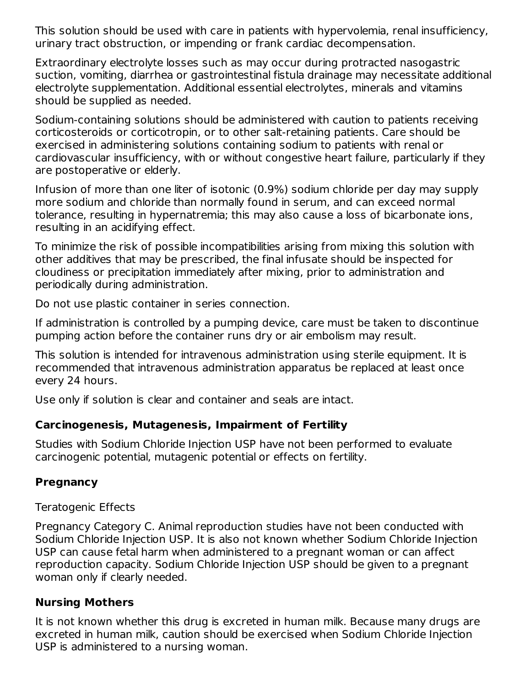This solution should be used with care in patients with hypervolemia, renal insufficiency, urinary tract obstruction, or impending or frank cardiac decompensation.

Extraordinary electrolyte losses such as may occur during protracted nasogastric suction, vomiting, diarrhea or gastrointestinal fistula drainage may necessitate additional electrolyte supplementation. Additional essential electrolytes, minerals and vitamins should be supplied as needed.

Sodium-containing solutions should be administered with caution to patients receiving corticosteroids or corticotropin, or to other salt-retaining patients. Care should be exercised in administering solutions containing sodium to patients with renal or cardiovascular insufficiency, with or without congestive heart failure, particularly if they are postoperative or elderly.

Infusion of more than one liter of isotonic (0.9%) sodium chloride per day may supply more sodium and chloride than normally found in serum, and can exceed normal tolerance, resulting in hypernatremia; this may also cause a loss of bicarbonate ions, resulting in an acidifying effect.

To minimize the risk of possible incompatibilities arising from mixing this solution with other additives that may be prescribed, the final infusate should be inspected for cloudiness or precipitation immediately after mixing, prior to administration and periodically during administration.

Do not use plastic container in series connection.

If administration is controlled by a pumping device, care must be taken to discontinue pumping action before the container runs dry or air embolism may result.

This solution is intended for intravenous administration using sterile equipment. It is recommended that intravenous administration apparatus be replaced at least once every 24 hours.

Use only if solution is clear and container and seals are intact.

## **Carcinogenesis, Mutagenesis, Impairment of Fertility**

Studies with Sodium Chloride Injection USP have not been performed to evaluate carcinogenic potential, mutagenic potential or effects on fertility.

# **Pregnancy**

Teratogenic Effects

Pregnancy Category C. Animal reproduction studies have not been conducted with Sodium Chloride Injection USP. It is also not known whether Sodium Chloride Injection USP can cause fetal harm when administered to a pregnant woman or can affect reproduction capacity. Sodium Chloride Injection USP should be given to a pregnant woman only if clearly needed.

# **Nursing Mothers**

It is not known whether this drug is excreted in human milk. Because many drugs are excreted in human milk, caution should be exercised when Sodium Chloride Injection USP is administered to a nursing woman.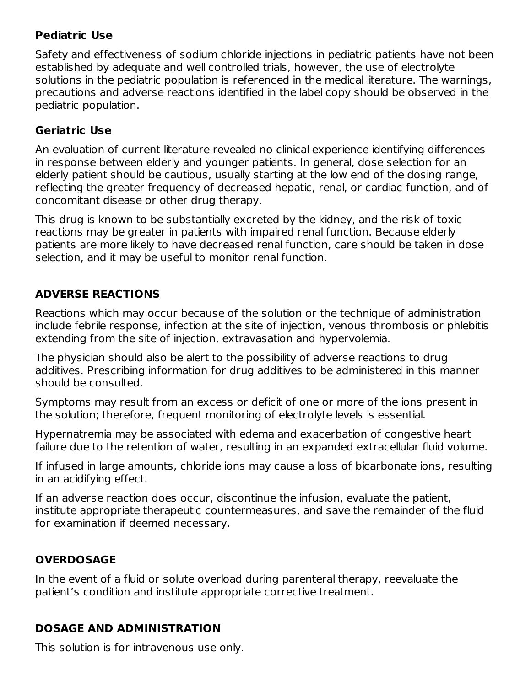#### **Pediatric Use**

Safety and effectiveness of sodium chloride injections in pediatric patients have not been established by adequate and well controlled trials, however, the use of electrolyte solutions in the pediatric population is referenced in the medical literature. The warnings, precautions and adverse reactions identified in the label copy should be observed in the pediatric population.

#### **Geriatric Use**

An evaluation of current literature revealed no clinical experience identifying differences in response between elderly and younger patients. In general, dose selection for an elderly patient should be cautious, usually starting at the low end of the dosing range, reflecting the greater frequency of decreased hepatic, renal, or cardiac function, and of concomitant disease or other drug therapy.

This drug is known to be substantially excreted by the kidney, and the risk of toxic reactions may be greater in patients with impaired renal function. Because elderly patients are more likely to have decreased renal function, care should be taken in dose selection, and it may be useful to monitor renal function.

## **ADVERSE REACTIONS**

Reactions which may occur because of the solution or the technique of administration include febrile response, infection at the site of injection, venous thrombosis or phlebitis extending from the site of injection, extravasation and hypervolemia.

The physician should also be alert to the possibility of adverse reactions to drug additives. Prescribing information for drug additives to be administered in this manner should be consulted.

Symptoms may result from an excess or deficit of one or more of the ions present in the solution; therefore, frequent monitoring of electrolyte levels is essential.

Hypernatremia may be associated with edema and exacerbation of congestive heart failure due to the retention of water, resulting in an expanded extracellular fluid volume.

If infused in large amounts, chloride ions may cause a loss of bicarbonate ions, resulting in an acidifying effect.

If an adverse reaction does occur, discontinue the infusion, evaluate the patient, institute appropriate therapeutic countermeasures, and save the remainder of the fluid for examination if deemed necessary.

## **OVERDOSAGE**

In the event of a fluid or solute overload during parenteral therapy, reevaluate the patient's condition and institute appropriate corrective treatment.

## **DOSAGE AND ADMINISTRATION**

This solution is for intravenous use only.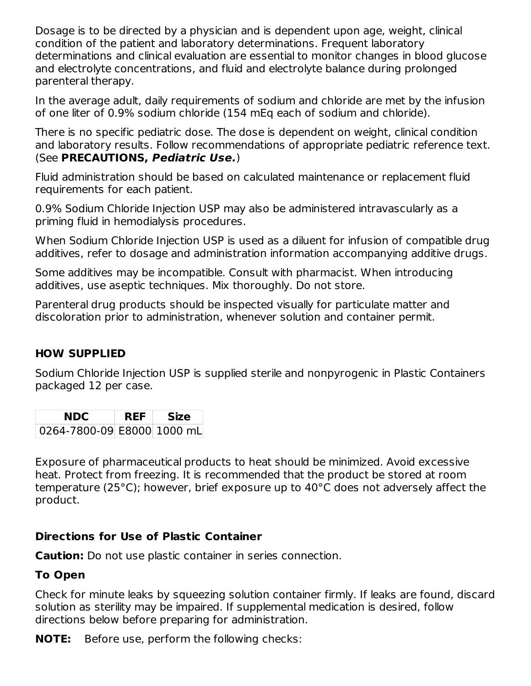Dosage is to be directed by a physician and is dependent upon age, weight, clinical condition of the patient and laboratory determinations. Frequent laboratory determinations and clinical evaluation are essential to monitor changes in blood glucose and electrolyte concentrations, and fluid and electrolyte balance during prolonged parenteral therapy.

In the average adult, daily requirements of sodium and chloride are met by the infusion of one liter of 0.9% sodium chloride (154 mEq each of sodium and chloride).

There is no specific pediatric dose. The dose is dependent on weight, clinical condition and laboratory results. Follow recommendations of appropriate pediatric reference text. (See **PRECAUTIONS, Pediatric Use.**)

Fluid administration should be based on calculated maintenance or replacement fluid requirements for each patient.

0.9% Sodium Chloride Injection USP may also be administered intravascularly as a priming fluid in hemodialysis procedures.

When Sodium Chloride Injection USP is used as a diluent for infusion of compatible drug additives, refer to dosage and administration information accompanying additive drugs.

Some additives may be incompatible. Consult with pharmacist. When introducing additives, use aseptic techniques. Mix thoroughly. Do not store.

Parenteral drug products should be inspected visually for particulate matter and discoloration prior to administration, whenever solution and container permit.

## **HOW SUPPLIED**

Sodium Chloride Injection USP is supplied sterile and nonpyrogenic in Plastic Containers packaged 12 per case.

| NDC                        | REF | <b>Size</b> |
|----------------------------|-----|-------------|
| 0264-7800-09 E8000 1000 mL |     |             |

Exposure of pharmaceutical products to heat should be minimized. Avoid excessive heat. Protect from freezing. It is recommended that the product be stored at room temperature (25°C); however, brief exposure up to 40°C does not adversely affect the product.

#### **Directions for Use of Plastic Container**

**Caution:** Do not use plastic container in series connection.

## **To Open**

Check for minute leaks by squeezing solution container firmly. If leaks are found, discard solution as sterility may be impaired. If supplemental medication is desired, follow directions below before preparing for administration.

**NOTE:** Before use, perform the following checks: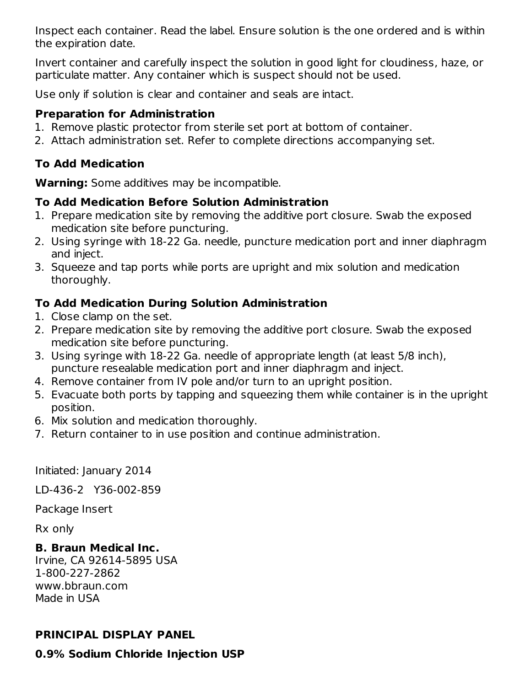Inspect each container. Read the label. Ensure solution is the one ordered and is within the expiration date.

Invert container and carefully inspect the solution in good light for cloudiness, haze, or particulate matter. Any container which is suspect should not be used.

Use only if solution is clear and container and seals are intact.

#### **Preparation for Administration**

- 1. Remove plastic protector from sterile set port at bottom of container.
- 2. Attach administration set. Refer to complete directions accompanying set.

## **To Add Medication**

**Warning:** Some additives may be incompatible.

## **To Add Medication Before Solution Administration**

- 1. Prepare medication site by removing the additive port closure. Swab the exposed medication site before puncturing.
- 2. Using syringe with 18-22 Ga. needle, puncture medication port and inner diaphragm and inject.
- 3. Squeeze and tap ports while ports are upright and mix solution and medication thoroughly.

## **To Add Medication During Solution Administration**

- 1. Close clamp on the set.
- 2. Prepare medication site by removing the additive port closure. Swab the exposed medication site before puncturing.
- 3. Using syringe with 18-22 Ga. needle of appropriate length (at least 5/8 inch), puncture resealable medication port and inner diaphragm and inject.
- 4. Remove container from IV pole and/or turn to an upright position.
- 5. Evacuate both ports by tapping and squeezing them while container is in the upright position.
- 6. Mix solution and medication thoroughly.
- 7. Return container to in use position and continue administration.

Initiated: January 2014

LD-436-2 Y36-002-859

Package Insert

Rx only

## **B. Braun Medical Inc.**

Irvine, CA 92614-5895 USA 1-800-227-2862 www.bbraun.com Made in USA

# **PRINCIPAL DISPLAY PANEL**

**0.9% Sodium Chloride Injection USP**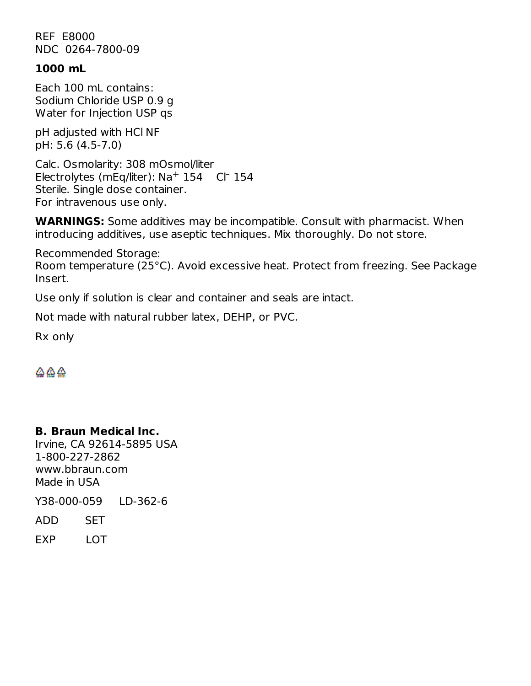REF E8000 NDC 0264-7800-09

#### **1000 mL**

Each 100 mL contains: Sodium Chloride USP 0.9 g Water for Injection USP qs

pH adjusted with HCl NF pH: 5.6 (4.5-7.0)

Calc. Osmolarity: 308 mOsmol/liter Electrolytes (mEq/liter):  $Na^+$  154 Cl 154 Sterile. Single dose container. For intravenous use only.

**WARNINGS:** Some additives may be incompatible. Consult with pharmacist. When introducing additives, use aseptic techniques. Mix thoroughly. Do not store.

Recommended Storage: Room temperature (25°C). Avoid excessive heat. Protect from freezing. See Package Insert.

Use only if solution is clear and container and seals are intact.

Not made with natural rubber latex, DEHP, or PVC.

Rx only

#### **B. Braun Medical Inc.**

Irvine, CA 92614-5895 USA 1-800-227-2862 www.bbraun.com Made in USA

Y38-000-059 LD-362-6

ADD SET

EXP LOT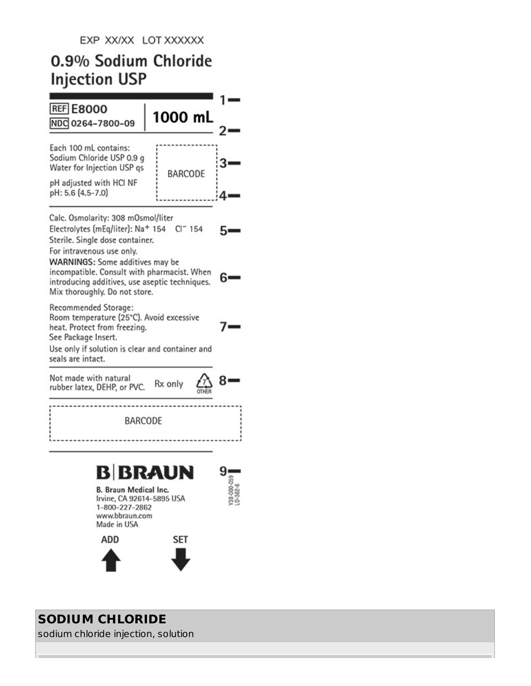# 0.9% Sodium Chloride **Injection USP**



# **SODIUM CHLORIDE**

sodium chloride injection, solution